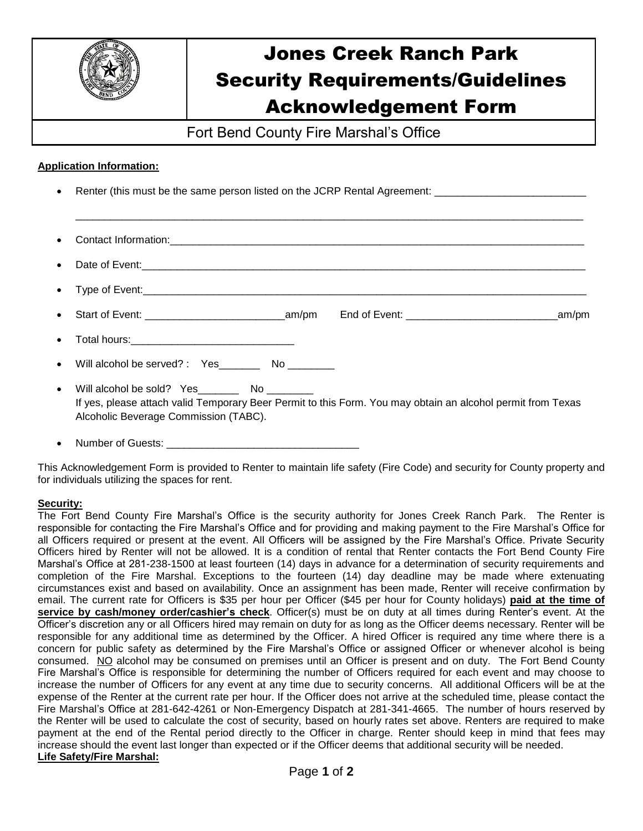

# Jones Creek Ranch Park Security Requirements/Guidelines Acknowledgement Form

Fort Bend County Fire Marshal's Office

## **Application Information:**

- Renter (this must be the same person listed on the JCRP Rental Agreement:
- Contact Information: United Section of the Section of the Section of the Section of the Section of the Section of the Section of the Section of the Section of the Section of the Section of the Section of the Section of the
- Date of Event: Type of Event:\_\_\_\_\_\_\_\_\_\_\_\_\_\_\_\_\_\_\_\_\_\_\_\_\_\_\_\_\_\_\_\_\_\_\_\_\_\_\_\_\_\_\_\_\_\_\_\_\_\_\_\_\_\_\_\_\_\_\_\_\_\_\_\_\_\_\_\_\_\_\_\_\_\_\_\_

\_\_\_\_\_\_\_\_\_\_\_\_\_\_\_\_\_\_\_\_\_\_\_\_\_\_\_\_\_\_\_\_\_\_\_\_\_\_\_\_\_\_\_\_\_\_\_\_\_\_\_\_\_\_\_\_\_\_\_\_\_\_\_\_\_\_\_\_\_\_\_\_\_\_\_\_\_\_\_\_\_\_\_\_\_\_\_

- Start of Event: \_\_\_\_\_\_\_\_\_\_\_\_\_\_\_\_\_\_\_\_\_\_\_\_am/pm End of Event: \_\_\_\_\_\_\_\_\_\_\_\_\_\_\_\_\_\_\_\_\_\_\_\_\_\_am/pm
- Total hours: **We are all that the set of the set of the set of the set of the set of the set of the set of the set of the set of the set of the set of the set of the set of the set of the set of the set of the set of the s**
- Will alcohol be served? : Yes \_\_\_\_\_\_ No
- Will alcohol be sold? Yes No If yes, please attach valid Temporary Beer Permit to this Form. You may obtain an alcohol permit from Texas Alcoholic Beverage Commission (TABC).
- Number of Guests: **We are all that the set of Guests:**

This Acknowledgement Form is provided to Renter to maintain life safety (Fire Code) and security for County property and for individuals utilizing the spaces for rent.

#### **Security:**

The Fort Bend County Fire Marshal's Office is the security authority for Jones Creek Ranch Park. The Renter is responsible for contacting the Fire Marshal's Office and for providing and making payment to the Fire Marshal's Office for all Officers required or present at the event. All Officers will be assigned by the Fire Marshal's Office. Private Security Officers hired by Renter will not be allowed. It is a condition of rental that Renter contacts the Fort Bend County Fire Marshal's Office at 281-238-1500 at least fourteen (14) days in advance for a determination of security requirements and completion of the Fire Marshal. Exceptions to the fourteen (14) day deadline may be made where extenuating circumstances exist and based on availability. Once an assignment has been made, Renter will receive confirmation by email. The current rate for Officers is \$35 per hour per Officer (\$45 per hour for County holidays) **paid at the time of service by cash/money order/cashier's check**. Officer(s) must be on duty at all times during Renter's event. At the Officer's discretion any or all Officers hired may remain on duty for as long as the Officer deems necessary. Renter will be responsible for any additional time as determined by the Officer. A hired Officer is required any time where there is a concern for public safety as determined by the Fire Marshal's Office or assigned Officer or whenever alcohol is being consumed. NO alcohol may be consumed on premises until an Officer is present and on duty. The Fort Bend County Fire Marshal's Office is responsible for determining the number of Officers required for each event and may choose to increase the number of Officers for any event at any time due to security concerns. All additional Officers will be at the expense of the Renter at the current rate per hour. If the Officer does not arrive at the scheduled time, please contact the Fire Marshal's Office at 281-642-4261 or Non-Emergency Dispatch at 281-341-4665. The number of hours reserved by the Renter will be used to calculate the cost of security, based on hourly rates set above. Renters are required to make payment at the end of the Rental period directly to the Officer in charge. Renter should keep in mind that fees may increase should the event last longer than expected or if the Officer deems that additional security will be needed. **Life Safety/Fire Marshal:**